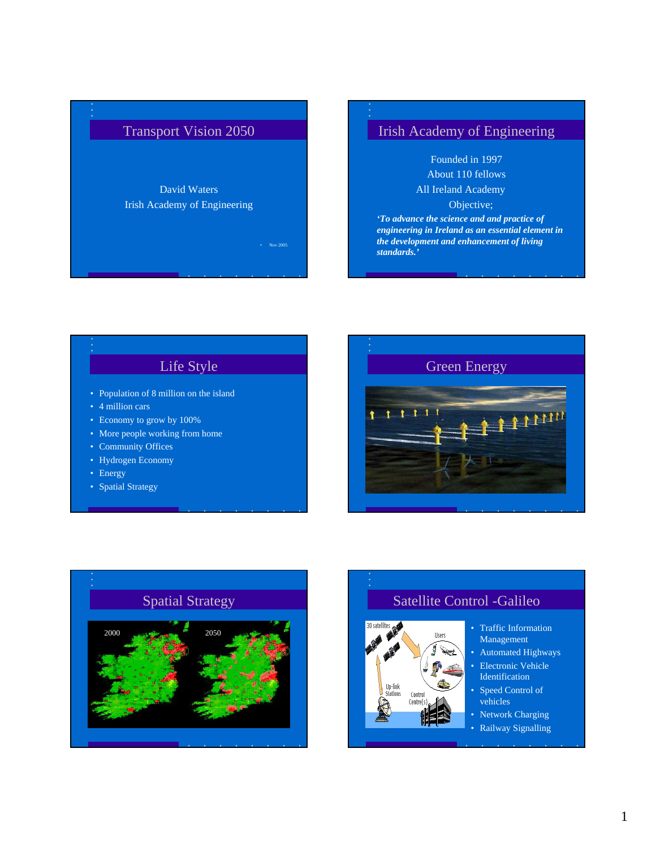

## Irish Academy of Engineering

Founded in 1997 About 110 fellows

All Ireland Academy

Objective;

*'To advance the science and and practice of engineering in Ireland as an essential element in the development and enhancement of living standards.'*

## Life Style

- Population of 8 million on the island
- 4 million cars
- Economy to grow by 100%
- More people working from home
- Community Offices
- Hydrogen Economy
- Energy
- Spatial Strategy





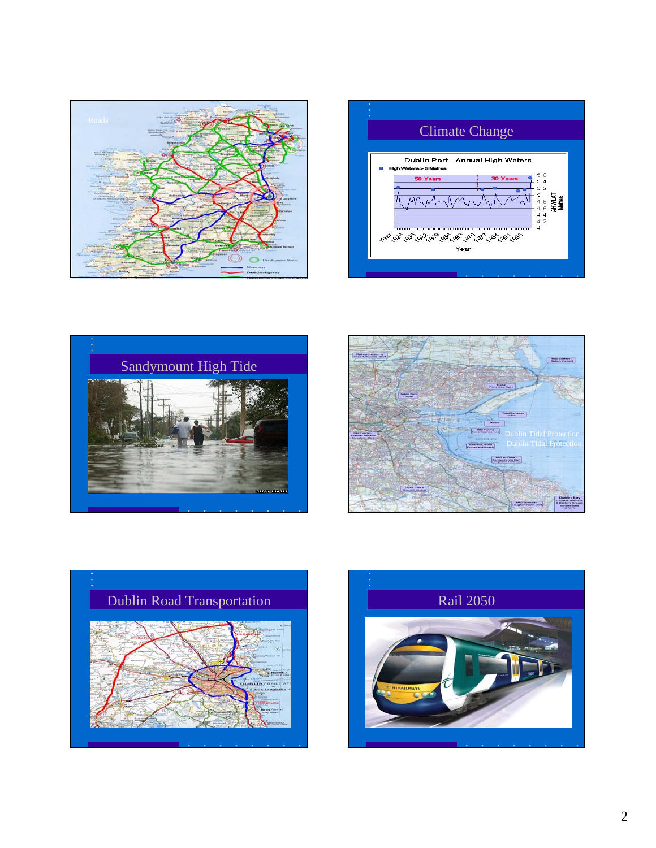









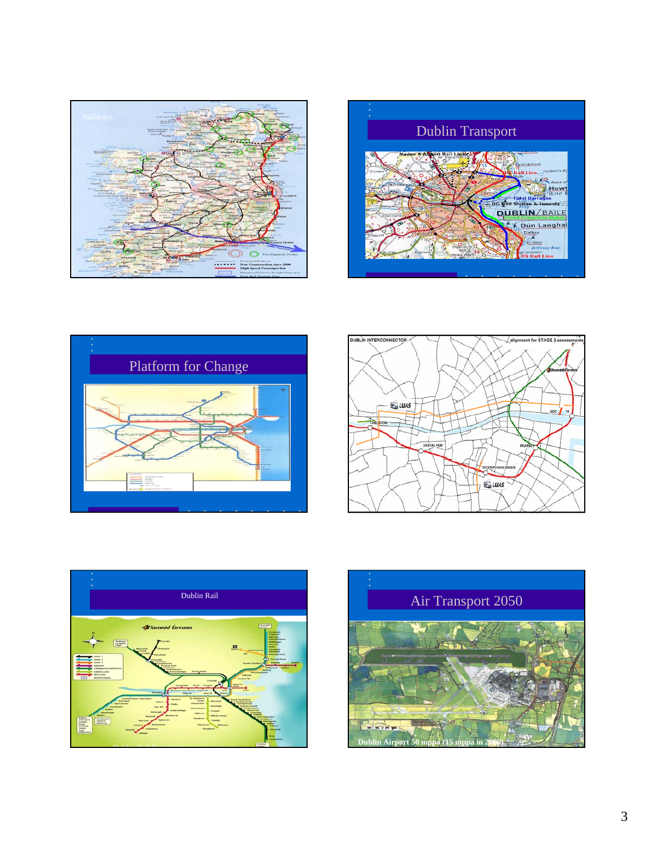









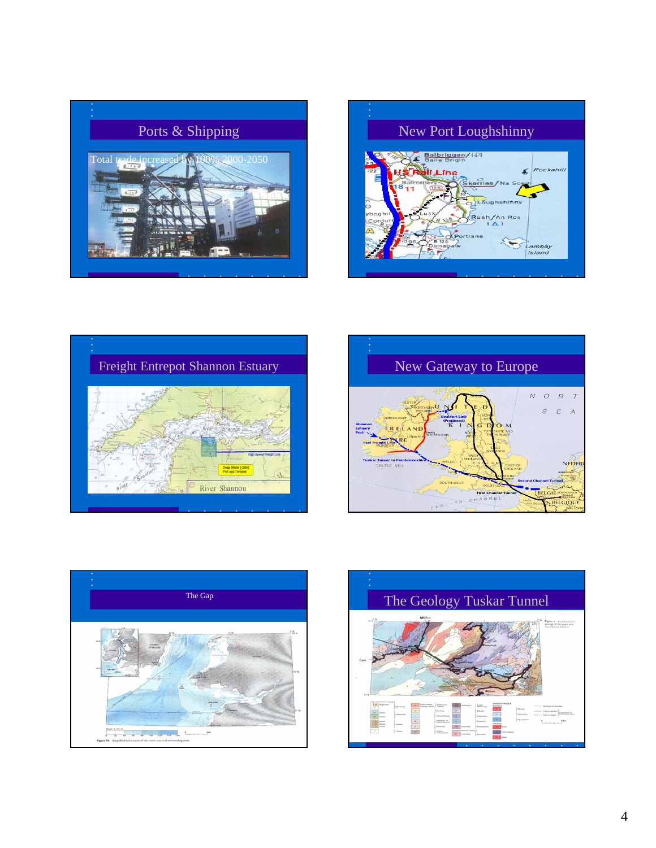